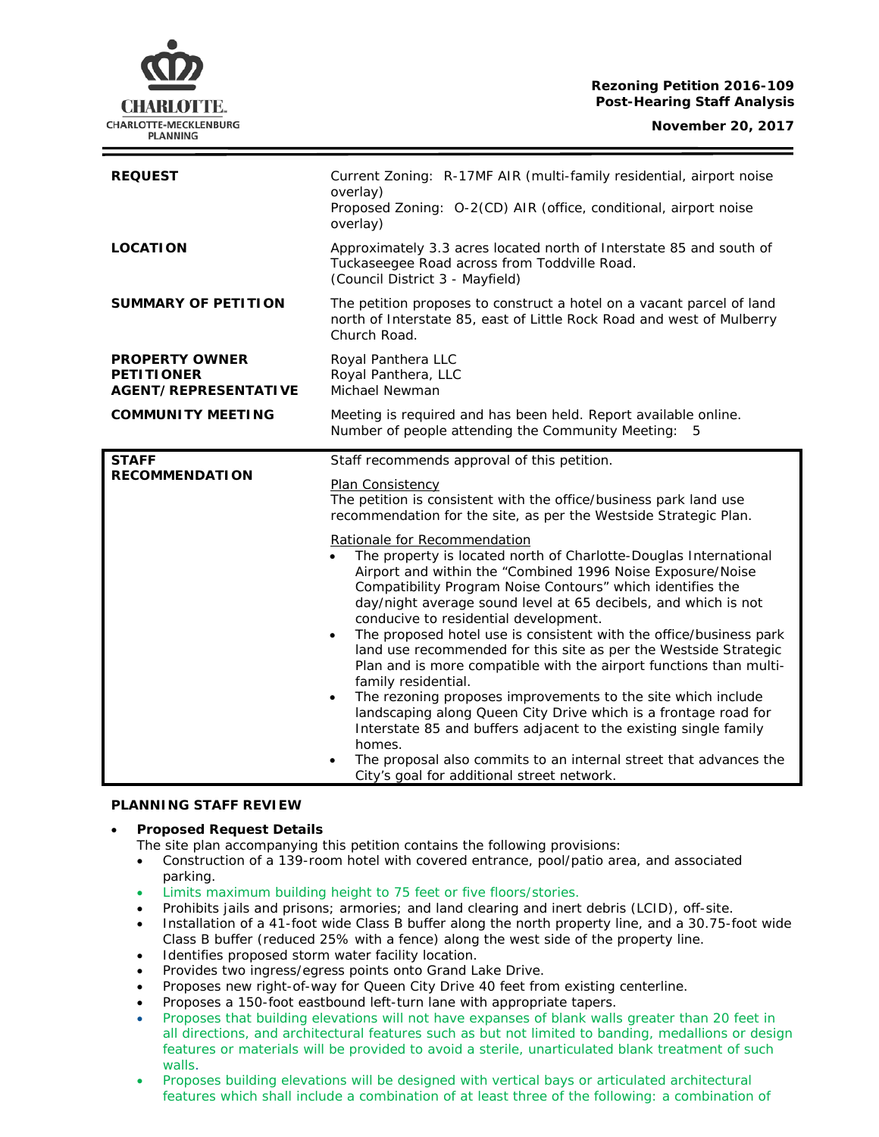## **Rezoning Petition 2016-109 Post-Hearing Staff Analysis**

| <b>REQUEST</b>                                                            | Current Zoning: R-17MF AIR (multi-family residential, airport noise<br>overlay)<br>Proposed Zoning: O-2(CD) AIR (office, conditional, airport noise<br>overlay)                                                                                                                                                                                                                                                                                                                                                                                                                                                                                                                                                                                                                                                                                                                                                                                                                                                                                                                                                                                                 |
|---------------------------------------------------------------------------|-----------------------------------------------------------------------------------------------------------------------------------------------------------------------------------------------------------------------------------------------------------------------------------------------------------------------------------------------------------------------------------------------------------------------------------------------------------------------------------------------------------------------------------------------------------------------------------------------------------------------------------------------------------------------------------------------------------------------------------------------------------------------------------------------------------------------------------------------------------------------------------------------------------------------------------------------------------------------------------------------------------------------------------------------------------------------------------------------------------------------------------------------------------------|
| <b>LOCATION</b>                                                           | Approximately 3.3 acres located north of Interstate 85 and south of<br>Tuckaseegee Road across from Toddville Road.<br>(Council District 3 - Mayfield)                                                                                                                                                                                                                                                                                                                                                                                                                                                                                                                                                                                                                                                                                                                                                                                                                                                                                                                                                                                                          |
| <b>SUMMARY OF PETITION</b>                                                | The petition proposes to construct a hotel on a vacant parcel of land<br>north of Interstate 85, east of Little Rock Road and west of Mulberry<br>Church Road.                                                                                                                                                                                                                                                                                                                                                                                                                                                                                                                                                                                                                                                                                                                                                                                                                                                                                                                                                                                                  |
| <b>PROPERTY OWNER</b><br><b>PETITIONER</b><br><b>AGENT/REPRESENTATIVE</b> | Royal Panthera LLC<br>Royal Panthera, LLC<br>Michael Newman                                                                                                                                                                                                                                                                                                                                                                                                                                                                                                                                                                                                                                                                                                                                                                                                                                                                                                                                                                                                                                                                                                     |
| <b>COMMUNITY MEETING</b>                                                  | Meeting is required and has been held. Report available online.<br>Number of people attending the Community Meeting: 5                                                                                                                                                                                                                                                                                                                                                                                                                                                                                                                                                                                                                                                                                                                                                                                                                                                                                                                                                                                                                                          |
| <b>STAFF</b><br><b>RECOMMENDATION</b>                                     | Staff recommends approval of this petition.<br><b>Plan Consistency</b><br>The petition is consistent with the office/business park land use<br>recommendation for the site, as per the Westside Strategic Plan.<br>Rationale for Recommendation<br>The property is located north of Charlotte-Douglas International<br>Airport and within the "Combined 1996 Noise Exposure/Noise<br>Compatibility Program Noise Contours" which identifies the<br>day/night average sound level at 65 decibels, and which is not<br>conducive to residential development.<br>The proposed hotel use is consistent with the office/business park<br>$\bullet$<br>land use recommended for this site as per the Westside Strategic<br>Plan and is more compatible with the airport functions than multi-<br>family residential.<br>The rezoning proposes improvements to the site which include<br>$\bullet$<br>landscaping along Queen City Drive which is a frontage road for<br>Interstate 85 and buffers adjacent to the existing single family<br>homes.<br>The proposal also commits to an internal street that advances the<br>City's goal for additional street network. |

# **PLANNING STAFF REVIEW**

- **Proposed Request Details**
	- The site plan accompanying this petition contains the following provisions:
	- Construction of a 139-room hotel with covered entrance, pool/patio area, and associated parking.
	- Limits maximum building height to 75 feet or five floors/stories.
	- Prohibits jails and prisons; armories; and land clearing and inert debris (LCID), off-site.
	- Installation of a 41-foot wide Class B buffer along the north property line, and a 30.75-foot wide Class B buffer (reduced 25% with a fence) along the west side of the property line.
	- Identifies proposed storm water facility location.
	- Provides two ingress/egress points onto Grand Lake Drive.
	- Proposes new right-of-way for Queen City Drive 40 feet from existing centerline.
	- Proposes a 150-foot eastbound left-turn lane with appropriate tapers.
	- Proposes that building elevations will not have expanses of blank walls greater than 20 feet in all directions, and architectural features such as but not limited to banding, medallions or design features or materials will be provided to avoid a sterile, unarticulated blank treatment of such walls.
	- Proposes building elevations will be designed with vertical bays or articulated architectural features which shall include a combination of at least three of the following: a combination of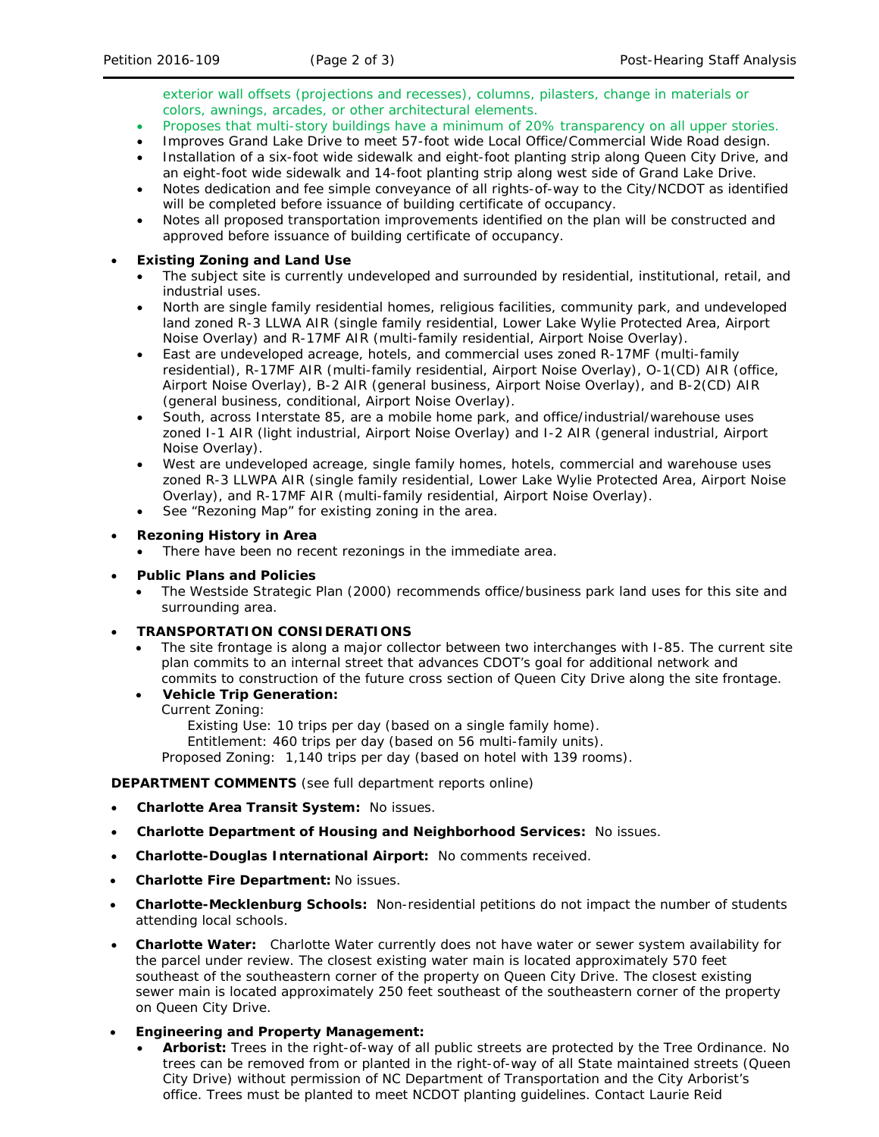exterior wall offsets (projections and recesses), columns, pilasters, change in materials or colors, awnings, arcades, or other architectural elements.

- Proposes that multi-story buildings have a minimum of 20% transparency on all upper stories.
- Improves Grand Lake Drive to meet 57-foot wide Local Office/Commercial Wide Road design.
- Installation of a six-foot wide sidewalk and eight-foot planting strip along Queen City Drive, and an eight-foot wide sidewalk and 14-foot planting strip along west side of Grand Lake Drive.
- Notes dedication and fee simple conveyance of all rights-of-way to the City/NCDOT as identified will be completed before issuance of building certificate of occupancy.
- Notes all proposed transportation improvements identified on the plan will be constructed and approved before issuance of building certificate of occupancy.

#### • **Existing Zoning and Land Use**

- The subject site is currently undeveloped and surrounded by residential, institutional, retail, and industrial uses.
- North are single family residential homes, religious facilities, community park, and undeveloped land zoned R-3 LLWA AIR (single family residential, Lower Lake Wylie Protected Area, Airport Noise Overlay) and R-17MF AIR (multi-family residential, Airport Noise Overlay).
- East are undeveloped acreage, hotels, and commercial uses zoned R-17MF (multi-family residential), R-17MF AIR (multi-family residential, Airport Noise Overlay), O-1(CD) AIR (office, Airport Noise Overlay), B-2 AIR (general business, Airport Noise Overlay), and B-2(CD) AIR (general business, conditional, Airport Noise Overlay).
- South, across Interstate 85, are a mobile home park, and office/industrial/warehouse uses zoned I-1 AIR (light industrial, Airport Noise Overlay) and I-2 AIR (general industrial, Airport Noise Overlay).
- West are undeveloped acreage, single family homes, hotels, commercial and warehouse uses zoned R-3 LLWPA AIR (single family residential, Lower Lake Wylie Protected Area, Airport Noise Overlay), and R-17MF AIR (multi-family residential, Airport Noise Overlay).
- See "Rezoning Map" for existing zoning in the area.

## • **Rezoning History in Area**

• There have been no recent rezonings in the immediate area.

### • **Public Plans and Policies**

- The *Westside Strategic Plan* (2000) recommends office/business park land uses for this site and surrounding area.
- **TRANSPORTATION CONSIDERATIONS**
	- The site frontage is along a major collector between two interchanges with I-85. The current site plan commits to an internal street that advances CDOT's goal for additional network and commits to construction of the future cross section of Queen City Drive along the site frontage.
	- **Vehicle Trip Generation:**

#### Current Zoning:

Existing Use: 10 trips per day (based on a single family home).

Entitlement: 460 trips per day (based on 56 multi-family units).

Proposed Zoning: 1,140 trips per day (based on hotel with 139 rooms).

## **DEPARTMENT COMMENTS** (see full department reports online)

- **Charlotte Area Transit System:** No issues.
- **Charlotte Department of Housing and Neighborhood Services:** No issues.
- **Charlotte-Douglas International Airport:** No comments received.
- **Charlotte Fire Department:** No issues.
- **Charlotte-Mecklenburg Schools:** Non-residential petitions do not impact the number of students attending local schools.
- **Charlotte Water:** Charlotte Water currently does not have water or sewer system availability for the parcel under review. The closest existing water main is located approximately 570 feet southeast of the southeastern corner of the property on Queen City Drive. The closest existing sewer main is located approximately 250 feet southeast of the southeastern corner of the property on Queen City Drive.
- **Engineering and Property Management:**
	- **Arborist:** Trees in the right-of-way of all public streets are protected by the Tree Ordinance. No trees can be removed from or planted in the right-of-way of all State maintained streets (Queen City Drive) without permission of NC Department of Transportation and the City Arborist's office. Trees must be planted to meet NCDOT planting guidelines. Contact Laurie Reid